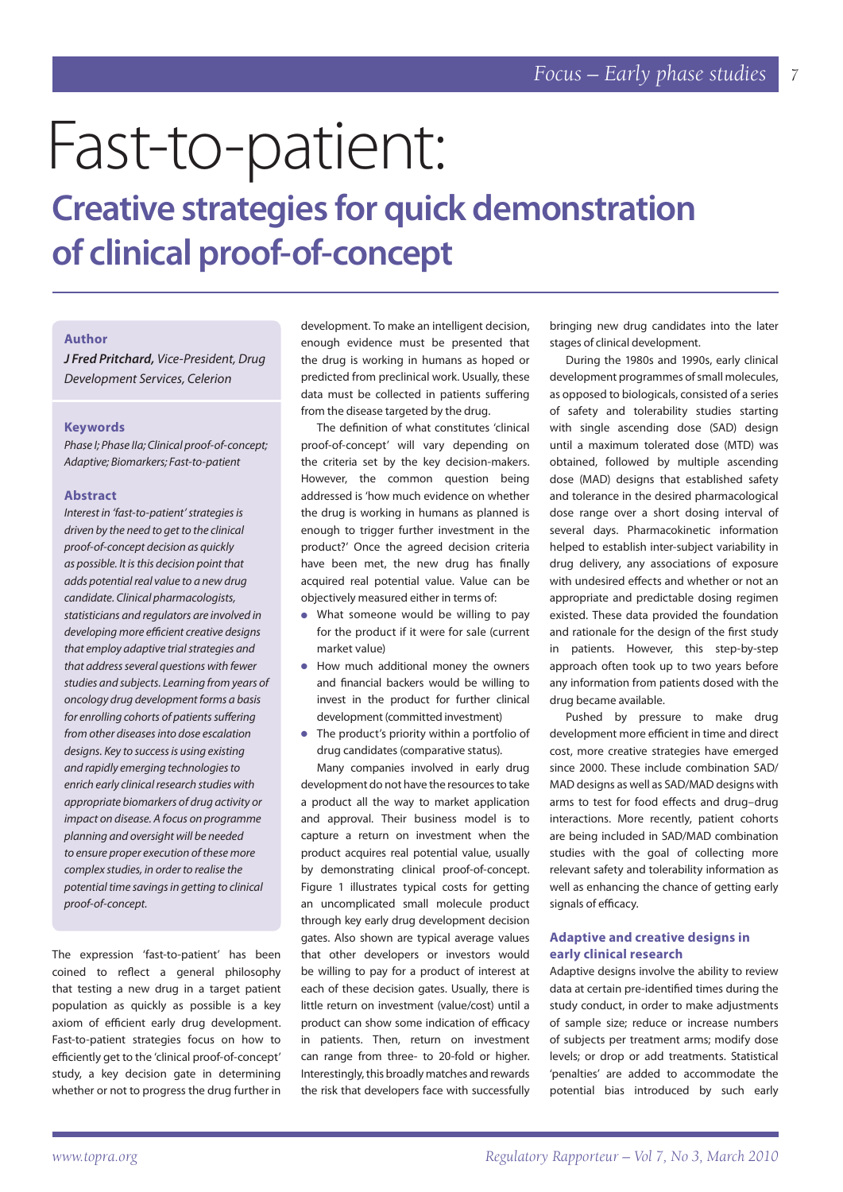# Fast-to-patient:

# **Creative strategies for quick demonstration of clinical proof-of-concept**

# **Author**

*J Fred Pritchard, Vice-President, Drug Development Services, Celerion*

#### **Keywords**

*Phase I; Phase IIa; Clinical proof-of-concept; Adaptive; Biomarkers; Fast-to-patient*

#### **Abstract**

*Interest in 'fast-to-patient' strategies is driven by the need to get to the clinical proof-of-concept decision as quickly as possible. It is this decision point that adds potential real value to a new drug candidate. Clinical pharmacologists, statisticians and regulators are involved in developing more effi cient creative designs that employ adaptive trial strategies and that address several questions with fewer studies and subjects. Learning from years of oncology drug development forms a basis for enrolling cohorts of patients suffering from other diseases into dose escalation designs. Key to success is using existing and rapidly emerging technologies to enrich early clinical research studies with appropriate biomarkers of drug activity or impact on disease. A focus on programme planning and oversight will be needed to ensure proper execution of these more complex studies, in order to realise the potential time savings in getting to clinical proof-of-concept.* 

The expression 'fast-to-patient' has been coined to reflect a general philosophy that testing a new drug in a target patient population as quickly as possible is a key axiom of efficient early drug development. Fast-to-patient strategies focus on how to efficiently get to the 'clinical proof-of-concept' study, a key decision gate in determining whether or not to progress the drug further in

development. To make an intelligent decision, enough evidence must be presented that the drug is working in humans as hoped or predicted from preclinical work. Usually, these data must be collected in patients suffering from the disease targeted by the drug.

The definition of what constitutes 'clinical proof-of-concept' will vary depending on the criteria set by the key decision-makers. However, the common question being addressed is 'how much evidence on whether the drug is working in humans as planned is enough to trigger further investment in the product?' Once the agreed decision criteria have been met, the new drug has finally acquired real potential value. Value can be objectively measured either in terms of:

- What someone would be willing to pay for the product if it were for sale (current market value)
- How much additional money the owners and financial backers would be willing to invest in the product for further clinical development (committed investment)
- The product's priority within a portfolio of drug candidates (comparative status).

Many companies involved in early drug development do not have the resources to take a product all the way to market application and approval. Their business model is to capture a return on investment when the product acquires real potential value, usually by demonstrating clinical proof-of-concept. Figure 1 illustrates typical costs for getting an uncomplicated small molecule product through key early drug development decision gates. Also shown are typical average values that other developers or investors would be willing to pay for a product of interest at each of these decision gates. Usually, there is little return on investment (value/cost) until a product can show some indication of efficacy in patients. Then, return on investment can range from three- to 20-fold or higher. Interestingly, this broadly matches and rewards the risk that developers face with successfully

bringing new drug candidates into the later stages of clinical development.

During the 1980s and 1990s, early clinical development programmes of small molecules, as opposed to biologicals, consisted of a series of safety and tolerability studies starting with single ascending dose (SAD) design until a maximum tolerated dose (MTD) was obtained, followed by multiple ascending dose (MAD) designs that established safety and tolerance in the desired pharmacological dose range over a short dosing interval of several days. Pharmacokinetic information helped to establish inter-subject variability in drug delivery, any associations of exposure with undesired effects and whether or not an appropriate and predictable dosing regimen existed. These data provided the foundation and rationale for the design of the first study in patients. However, this step-by-step approach often took up to two years before any information from patients dosed with the drug became available.

Pushed by pressure to make drug development more efficient in time and direct cost, more creative strategies have emerged since 2000. These include combination SAD/ MAD designs as well as SAD/MAD designs with arms to test for food effects and drug-drug interactions. More recently, patient cohorts are being included in SAD/MAD combination studies with the goal of collecting more relevant safety and tolerability information as well as enhancing the chance of getting early signals of efficacy.

# **Adaptive and creative designs in early clinical research**

Adaptive designs involve the ability to review data at certain pre-identified times during the study conduct, in order to make adjustments of sample size; reduce or increase numbers of subjects per treatment arms; modify dose levels; or drop or add treatments. Statistical 'penalties' are added to accommodate the potential bias introduced by such early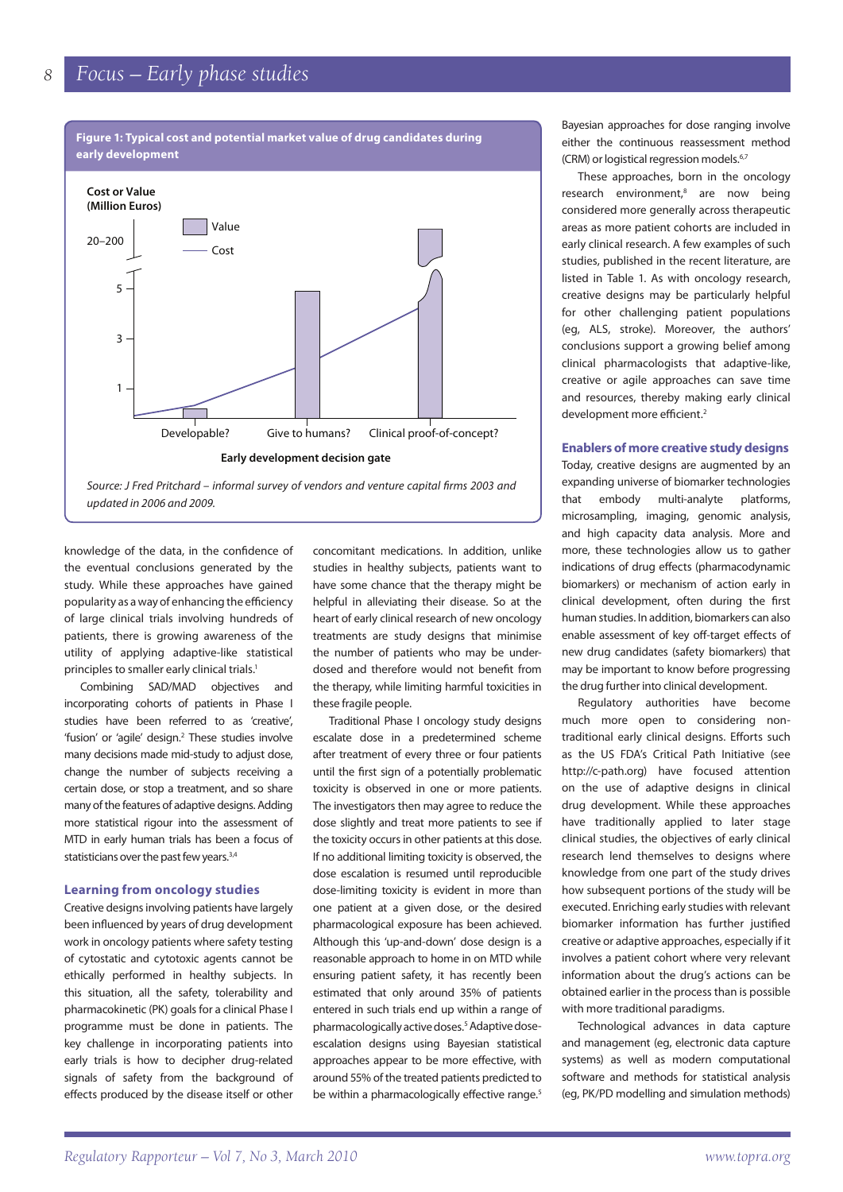

knowledge of the data, in the confidence of the eventual conclusions generated by the study. While these approaches have gained popularity as a way of enhancing the efficiency of large clinical trials involving hundreds of patients, there is growing awareness of the utility of applying adaptive-like statistical principles to smaller early clinical trials.<sup>1</sup>

Combining SAD/MAD objectives and incorporating cohorts of patients in Phase I studies have been referred to as 'creative', 'fusion' or 'agile' design.<sup>2</sup> These studies involve many decisions made mid-study to adjust dose, change the number of subjects receiving a certain dose, or stop a treatment, and so share many of the features of adaptive designs. Adding more statistical rigour into the assessment of MTD in early human trials has been a focus of statisticians over the past few years.<sup>3,4</sup>

#### **Learning from oncology studies**

Creative designs involving patients have largely been influenced by years of drug development work in oncology patients where safety testing of cytostatic and cytotoxic agents cannot be ethically performed in healthy subjects. In this situation, all the safety, tolerability and pharmacokinetic (PK) goals for a clinical Phase I programme must be done in patients. The key challenge in incorporating patients into early trials is how to decipher drug-related signals of safety from the background of effects produced by the disease itself or other

concomitant medications. In addition, unlike studies in healthy subjects, patients want to have some chance that the therapy might be helpful in alleviating their disease. So at the heart of early clinical research of new oncology treatments are study designs that minimise the number of patients who may be underdosed and therefore would not benefit from the therapy, while limiting harmful toxicities in these fragile people.

Traditional Phase I oncology study designs escalate dose in a predetermined scheme after treatment of every three or four patients until the first sign of a potentially problematic toxicity is observed in one or more patients. The investigators then may agree to reduce the dose slightly and treat more patients to see if the toxicity occurs in other patients at this dose. If no additional limiting toxicity is observed, the dose escalation is resumed until reproducible dose-limiting toxicity is evident in more than one patient at a given dose, or the desired pharmacological exposure has been achieved. Although this 'up-and-down' dose design is a reasonable approach to home in on MTD while ensuring patient safety, it has recently been estimated that only around 35% of patients entered in such trials end up within a range of pharmacologically active doses.<sup>5</sup> Adaptive doseescalation designs using Bayesian statistical approaches appear to be more effective, with around 55% of the treated patients predicted to be within a pharmacologically effective range.<sup>5</sup>

Bayesian approaches for dose ranging involve either the continuous reassessment method (CRM) or logistical regression models.<sup>6,7</sup>

These approaches, born in the oncology research environment,<sup>8</sup> are now being considered more generally across therapeutic areas as more patient cohorts are included in early clinical research. A few examples of such studies, published in the recent literature, are listed in Table 1. As with oncology research, creative designs may be particularly helpful for other challenging patient populations (eg, ALS, stroke). Moreover, the authors' conclusions support a growing belief among clinical pharmacologists that adaptive-like, creative or agile approaches can save time and resources, thereby making early clinical development more efficient.<sup>2</sup>

#### **Enablers of more creative study designs**

Today, creative designs are augmented by an expanding universe of biomarker technologies that embody multi-analyte platforms, microsampling, imaging, genomic analysis, and high capacity data analysis. More and more, these technologies allow us to gather indications of drug effects (pharmacodynamic biomarkers) or mechanism of action early in clinical development, often during the first human studies. In addition, biomarkers can also enable assessment of key off-target effects of new drug candidates (safety biomarkers) that may be important to know before progressing the drug further into clinical development.

Regulatory authorities have become much more open to considering nontraditional early clinical designs. Efforts such as the US FDA's Critical Path Initiative (see http://c-path.org) have focused attention on the use of adaptive designs in clinical drug development. While these approaches have traditionally applied to later stage clinical studies, the objectives of early clinical research lend themselves to designs where knowledge from one part of the study drives how subsequent portions of the study will be executed. Enriching early studies with relevant biomarker information has further justified creative or adaptive approaches, especially if it involves a patient cohort where very relevant information about the drug's actions can be obtained earlier in the process than is possible with more traditional paradigms.

Technological advances in data capture and management (eg, electronic data capture systems) as well as modern computational software and methods for statistical analysis (eg, PK/PD modelling and simulation methods)

*8*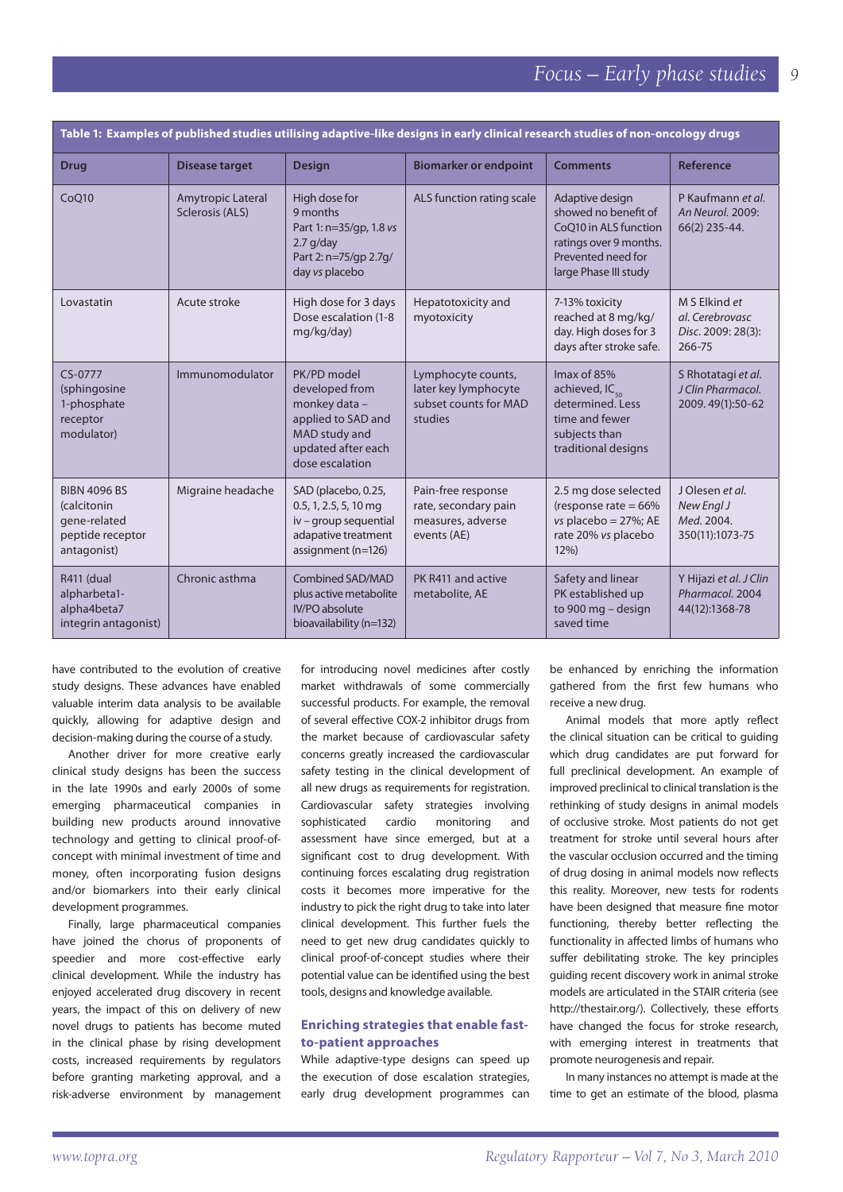| Table 1: Examples of published studies utilising adaptive-like designs in early clinical research studies of non-oncology drugs |                                      |                                                                                                                                |                                                                                |                                                                                                                                           |                                                                  |
|---------------------------------------------------------------------------------------------------------------------------------|--------------------------------------|--------------------------------------------------------------------------------------------------------------------------------|--------------------------------------------------------------------------------|-------------------------------------------------------------------------------------------------------------------------------------------|------------------------------------------------------------------|
| <b>Drug</b>                                                                                                                     | <b>Disease target</b>                | <b>Design</b>                                                                                                                  | <b>Biomarker or endpoint</b>                                                   | <b>Comments</b>                                                                                                                           | <b>Reference</b>                                                 |
| CoQ10                                                                                                                           | Amytropic Lateral<br>Sclerosis (ALS) | High dose for<br>9 months<br>Part 1: n=35/gp, 1.8 vs<br>$2.7$ g/day<br>Part 2: n=75/gp 2.7g/<br>day vs placebo                 | ALS function rating scale                                                      | Adaptive design<br>showed no benefit of<br>CoQ10 in ALS function<br>ratings over 9 months.<br>Prevented need for<br>large Phase III study | P Kaufmann et al.<br>An Neurol. 2009:<br>66(2) 235-44.           |
| Lovastatin                                                                                                                      | Acute stroke                         | High dose for 3 days<br>Dose escalation (1-8<br>mg/kg/day)                                                                     | Hepatotoxicity and<br>myotoxicity                                              | 7-13% toxicity<br>reached at 8 mg/kg/<br>day. High doses for 3<br>days after stroke safe.                                                 | M S Elkind et<br>al. Cerebrovasc<br>Disc. 2009: 28(3):<br>266-75 |
| CS-0777<br>(sphingosine<br>1-phosphate<br>receptor<br>modulator)                                                                | Immunomodulator                      | PK/PD model<br>developed from<br>monkey data -<br>applied to SAD and<br>MAD study and<br>updated after each<br>dose escalation | Lymphocyte counts,<br>later key lymphocyte<br>subset counts for MAD<br>studies | Imax of 85%<br>achieved, IC <sub>50</sub><br>determined. Less<br>time and fewer<br>subjects than<br>traditional designs                   | S Rhotatagi et al.<br>J Clin Pharmacol.<br>2009.49(1):50-62      |
| <b>BIBN 4096 BS</b><br>(calcitonin<br>gene-related<br>peptide receptor<br>antagonist)                                           | Migraine headache                    | SAD (placebo, 0.25,<br>0.5, 1, 2.5, 5, 10 mg<br>iv - group sequential<br>adapative treatment<br>assignment (n=126)             | Pain-free response<br>rate, secondary pain<br>measures, adverse<br>events (AE) | 2.5 mg dose selected<br>(response rate $= 66\%$<br>vs placebo = $27\%$ ; AE<br>rate 20% vs placebo<br>12%                                 | J Olesen et al.<br>New Engl J<br>Med. 2004.<br>350(11):1073-75   |
| R411 (dual<br>alpharbeta1-<br>alpha4beta7<br>integrin antagonist)                                                               | Chronic asthma                       | Combined SAD/MAD<br>plus active metabolite<br><b>IV/PO</b> absolute<br>bioavailability (n=132)                                 | PK R411 and active<br>metabolite, AE                                           | Safety and linear<br>PK established up<br>to 900 mg - design<br>saved time                                                                | Y Hijazi et al. J Clin<br>Pharmacol. 2004<br>44(12):1368-78      |

have contributed to the evolution of creative study designs. These advances have enabled valuable interim data analysis to be available quickly, allowing for adaptive design and decision-making during the course of a study.

Another driver for more creative early clinical study designs has been the success in the late 1990s and early 2000s of some emerging pharmaceutical companies in building new products around innovative technology and getting to clinical proof-ofconcept with minimal investment of time and money, often incorporating fusion designs and/or biomarkers into their early clinical development programmes.

Finally, large pharmaceutical companies have joined the chorus of proponents of speedier and more cost-effective early clinical development. While the industry has enjoyed accelerated drug discovery in recent years, the impact of this on delivery of new novel drugs to patients has become muted in the clinical phase by rising development costs, increased requirements by regulators before granting marketing approval, and a risk-adverse environment by management for introducing novel medicines after costly market withdrawals of some commercially successful products. For example, the removal of several effective COX-2 inhibitor drugs from the market because of cardiovascular safety concerns greatly increased the cardiovascular safety testing in the clinical development of all new drugs as requirements for registration. Cardiovascular safety strategies involving sophisticated cardio monitoring and assessment have since emerged, but at a significant cost to drug development. With continuing forces escalating drug registration costs it becomes more imperative for the industry to pick the right drug to take into later clinical development. This further fuels the need to get new drug candidates quickly to clinical proof-of-concept studies where their potential value can be identified using the best tools, designs and knowledge available.

# **Enriching strategies that enable fastto-patient approaches**

While adaptive-type designs can speed up the execution of dose escalation strategies, early drug development programmes can be enhanced by enriching the information gathered from the first few humans who receive a new drug.

Animal models that more aptly reflect the clinical situation can be critical to guiding which drug candidates are put forward for full preclinical development. An example of improved preclinical to clinical translation is the rethinking of study designs in animal models of occlusive stroke. Most patients do not get treatment for stroke until several hours after the vascular occlusion occurred and the timing of drug dosing in animal models now reflects this reality. Moreover, new tests for rodents have been designed that measure fine motor functioning, thereby better reflecting the functionality in affected limbs of humans who suffer debilitating stroke. The key principles guiding recent discovery work in animal stroke models are articulated in the STAIR criteria (see http://thestair.org/). Collectively, these efforts have changed the focus for stroke research, with emerging interest in treatments that promote neurogenesis and repair.

In many instances no attempt is made at the time to get an estimate of the blood, plasma